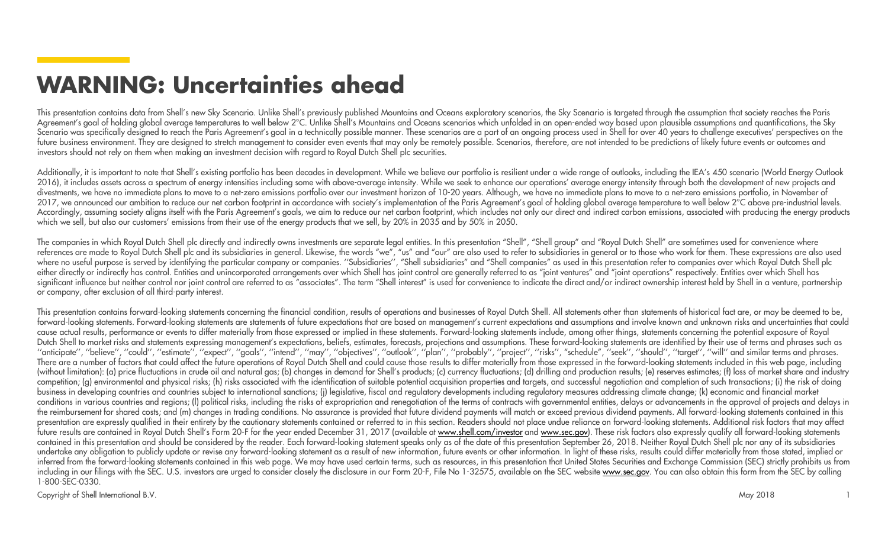## **WARNING: Uncertainties ahead**

This presentation contains data from Shell's new Sky Scenario. Unlike Shell's previously published Mountains and Oceans exploratory scenarios, the Sky Scenario is targeted through the assumption that society reaches the Pa Agreement's goal of holding global average temperatures to well below 2°C. Unlike Shell's Mountains and Oceans scenarios which unfolded in an open-ended way based upon plausible assumptions and quantifications, the Sky Scenario was specifically designed to reach the Paris Agreement's goal in a technically possible manner. These scenarios are a part of an ongoing process used in Shell for over 40 years to challenge executives' perspective future business environment. They are designed to stretch management to consider even events that may only be remotely possible. Scenarios, therefore, are not intended to be predictions of likely future events or outcomes investors should not rely on them when making an investment decision with regard to Royal Dutch Shell plc securities.

Additionally, it is important to note that Shell's existing portfolio has been decades in development. While we believe our portfolio is resilient under a wide range of outlooks, including the IEA's 450 scenario (World Ene 2016), it includes assets across a spectrum of energy intensities including some with above-average intensity. While we seek to enhance our operations' average energy intensity through both the development of new projects divestments, we have no immediate plans to move to a net-zero emissions portfolio over our investment horizon of 10-20 years. Although, we have no immediate plans to move to a net-zero emissions portfolio, in November of 2017, we announced our ambition to reduce our net carbon footprint in accordance with society's implementation of the Paris Agreement's goal of holding global average temperature to well below 2°C above pre-industrial leve Accordingly, assuming society aligns itself with the Paris Agreement's goals, we aim to reduce our net carbon footprint, which includes not only our direct and indirect carbon emissions, associated with producing the energ which we sell, but also our customers' emissions from their use of the energy products that we sell, by 20% in 2035 and by 50% in 2050.

The companies in which Royal Dutch Shell plc directly and indirectly owns investments are separate legal entities. In this presentation "Shell", "Shell group" and "Royal Dutch Shell" are sometimes used for convenience wher references are made to Royal Dutch Shell plc and its subsidiaries in general. Likewise, the words "we", "us" and "our" are also used to refer to subsidiaries in general or to those who work for them. These expressions are where no useful purpose is served by identifying the particular company or companies. "Subsidiaries", "Shell subsidiaries" and "Shell companies" as used in this presentation refer to companies over which Royal Dutch Shell either directly or indirectly has control. Entities and unincorporated arrangements over which Shell has joint control are generally referred to as "joint ventures" and "joint operations" respectively. Entities over which significant influence but neither control nor joint control are referred to as "associates". The term "Shell interest" is used for convenience to indicate the direct and/or indirect ownership interest held by Shell in a ve or company, after exclusion of all third-party interest.

This presentation contains forward-looking statements concerning the financial condition, results of operations and businesses of Royal Dutch Shell. All statements other than statements of historical fact are, or may be de forward-looking statements. Forward-looking statements are statements of future expectations that are based on management's current expectations and assumptions and involve known and unknown risks and uncertainties that co cause actual results, performance or events to differ materially from those expressed or implied in these statements. Forward-looking statements include, among other things, statements concerning the potential exposure of Dutch Shell to market risks and statements expressing management's expectations, beliefs, estimates, forecasts, projections and assumptions. These forward-looking statements are identified by their use of terms and phrases "anticipate", "believe", "could", "estimate", "expect", "goals", "intend", "may", "objectives", "outlook", "plan", "probably", "project", "risks", "schedule", "seek", "should", "target", "will" and similar terms and phrase There are a number of factors that could affect the future operations of Royal Dutch Shell and could cause those results to differ materially from those expressed in the forward-looking statements included in this web page (without limitation): (a) price fluctuations in crude oil and natural gas; (b) changes in demand for Shell's products; (c) currency fluctuations; (d) drilling and production results; (e) reserves estimates; (f) loss of mar competition; (g) environmental and physical risks; (h) risks associated with the identification of suitable potential acquisition properties and targets, and successful negotiation and completion of such transactions; (i) business in developing countries and countries subject to international sanctions; (i) legislative, fiscal and regulatory developments including regulatory measures addressing climate change; (k) economic and financial mar conditions in various countries and regions; (I) political risks, including the risks of expropriation and renegotiation of the terms of contracts with governmental entities, delays or advancements in the approval of proje the reimbursement for shared costs; and (m) changes in trading conditions. No assurance is provided that future dividend payments will match or exceed previous dividend payments. All forward-looking statements contained in presentation are expressly qualified in their entirety by the cautionary statements contained or referred to in this section. Readers should not place undue reliance on forward-looking statements. Additional risk factors t future results are contained in Royal Dutch Shell's Form 20-F for the year ended December 31, 2017 (available at <u>www.s<mark>hell.com/investor</mark> and www.sec.gov)</u>. These risk factors also expressly qualify all forward-looking st contained in this presentation and should be considered by the reader. Each forward-looking statement speaks only as of the date of this presentation September 26, 2018. Neither Royal Dutch Shell plc nor any of its subsidi undertake any obligation to publicly update or revise any forward-looking statement as a result of new information, future events or other information. In light of these risks, results could differ materially from those st inferred from the forward-looking statements contained in this web page. We may have used certain terms, such as resources, in this presentation that United States Securities and Exchange Commission (SEC) strictly prohibit including in our filings with the SEC. U.S. investors are urged to consider closely the disclosure in our Form 20-F, File No 1-32575, available on the SEC website www.sec.gov. You can also obtain this form from the SEC by 1-800-SEC-0330.

Copyright of Shell International B.V.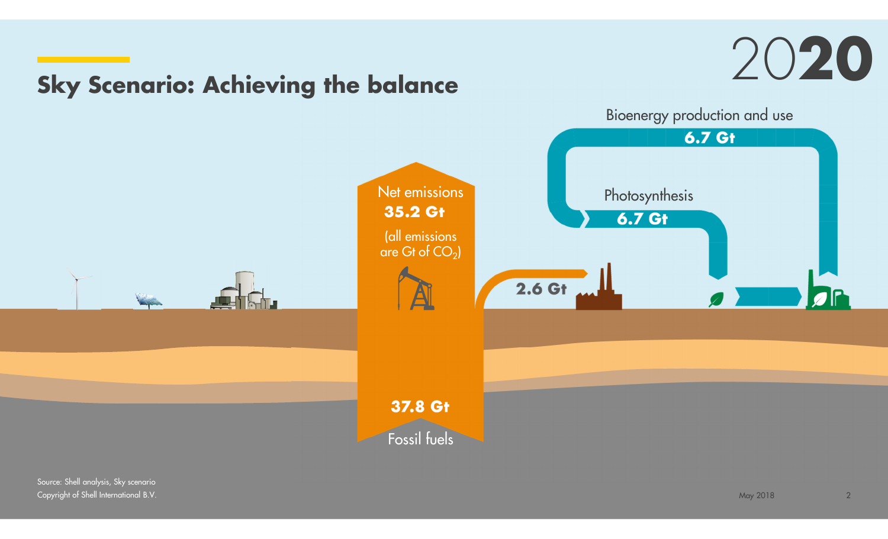